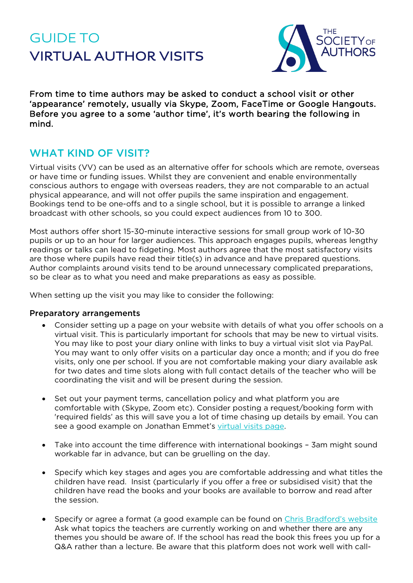# GUIDE TO **VIRTUAL AUTHOR VISITS**



From time to time authors may be asked to conduct a school visit or other 'appearance' remotely, usually via Skype, Zoom, FaceTime or Google Hangouts. Before you agree to a some 'author time', it's worth bearing the following in mind.

# WHAT KIND OF VISIT?

Virtual visits (VV) can be used as an alternative offer for schools which are remote, overseas or have time or funding issues. Whilst they are convenient and enable environmentally conscious authors to engage with overseas readers, they are not comparable to an actual physical appearance, and will not offer pupils the same inspiration and engagement. Bookings tend to be one-offs and to a single school, but it is possible to arrange a linked broadcast with other schools, so you could expect audiences from 10 to 300.

Most authors offer short 15-30-minute interactive sessions for small group work of 10-30 pupils or up to an hour for larger audiences. This approach engages pupils, whereas lengthy readings or talks can lead to fidgeting. Most authors agree that the most satisfactory visits are those where pupils have read their title(s) in advance and have prepared questions. Author complaints around visits tend to be around unnecessary complicated preparations, so be clear as to what you need and make preparations as easy as possible.

When setting up the visit you may like to consider the following:

#### Preparatory arrangements

- Consider setting up a page on your website with details of what you offer schools on a virtual visit. This is particularly important for schools that may be new to virtual visits. You may like to post your diary online with links to buy a virtual visit slot via PayPal. You may want to only offer visits on a particular day once a month; and if you do free visits, only one per school. If you are not comfortable making your diary available ask for two dates and time slots along with full contact details of the teacher who will be coordinating the visit and will be present during the session.
- Set out your payment terms, cancellation policy and what platform you are comfortable with (Skype, Zoom etc). Consider posting a request/booking form with 'required fields' as this will save you a lot of time chasing up details by email. You can see a good example on Jonathan Emmet's [virtual visits page.](https://www.scribblestreet.co.uk/school/virtual.html)
- Take into account the time difference with international bookings 3am might sound workable far in advance, but can be gruelling on the day.
- Specify which key stages and ages you are comfortable addressing and what titles the children have read. Insist (particularly if you offer a free or subsidised visit) that the children have read the books and your books are available to borrow and read after the session.
- Specify or agree a format (a good example can be found on [Chris Bradford's website](http://www.chrisbradford.co.uk/virtual-visits/what-happens.html%20).%20Ask%20what%20topics) Ask what topics the teachers are currently working on and whether there are any themes you should be aware of. If the school has read the book this frees you up for a Q&A rather than a lecture. Be aware that this platform does not work well with call-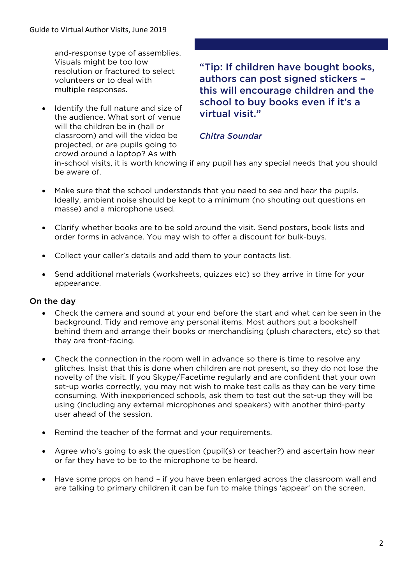and-response type of assemblies. Visuals might be too low resolution or fractured to select volunteers or to deal with multiple responses.

Identify the full nature and size of the audience. What sort of venue will the children be in (hall or classroom) and will the video be projected, or are pupils going to crowd around a laptop? As with

 "Tip: If children have bought books, authors can post signed stickers – this will encourage children and the school to buy books even if it's a virtual visit."

### *Chitra Soundar*

in-school visits, it is worth knowing if any pupil has any special needs that you should be aware of.

- Make sure that the school understands that you need to see and hear the pupils. Ideally, ambient noise should be kept to a minimum (no shouting out questions en masse) and a microphone used.
- Clarify whether books are to be sold around the visit. Send posters, book lists and order forms in advance. You may wish to offer a discount for bulk-buys.
- Collect your caller's details and add them to your contacts list.
- Send additional materials (worksheets, quizzes etc) so they arrive in time for your appearance.

### On the day

- Check the camera and sound at your end before the start and what can be seen in the background. Tidy and remove any personal items. Most authors put a bookshelf behind them and arrange their books or merchandising (plush characters, etc) so that they are front-facing.
- Check the connection in the room well in advance so there is time to resolve any glitches. Insist that this is done when children are not present, so they do not lose the novelty of the visit. If you Skype/Facetime regularly and are confident that your own set-up works correctly, you may not wish to make test calls as they can be very time consuming. With inexperienced schools, ask them to test out the set-up they will be using (including any external microphones and speakers) with another third-party user ahead of the session.
- Remind the teacher of the format and your requirements.
- Agree who's going to ask the question (pupil(s) or teacher?) and ascertain how near or far they have to be to the microphone to be heard.
- Have some props on hand if you have been enlarged across the classroom wall and are talking to primary children it can be fun to make things 'appear' on the screen.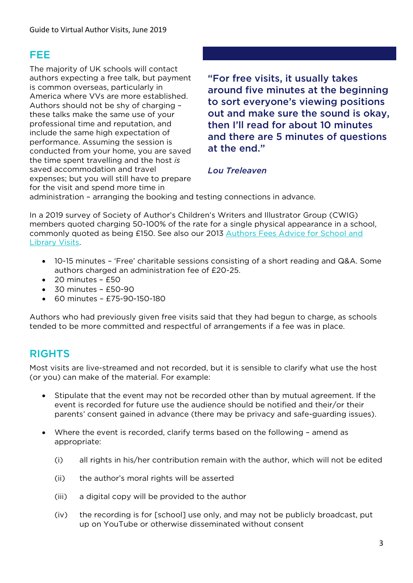### FEE

The majority of UK schools will contact authors expecting a free talk, but payment is common overseas, particularly in America where VVs are more established. Authors should not be shy of charging – these talks make the same use of your professional time and reputation, and include the same high expectation of performance. Assuming the session is conducted from your home, you are saved the time spent travelling and the host *is* saved accommodation and travel expenses; but you will still have to prepare for the visit and spend more time in

 "For free visits, it usually takes around five minutes at the beginning to sort everyone's viewing positions out and make sure the sound is okay, then I'll read for about 10 minutes and there are 5 minutes of questions at the end."

### *Lou Treleaven*

administration – arranging the booking and testing connections in advance.

In a 2019 survey of Society of Author's Children's Writers and Illustrator Group (CWIG) members quoted charging 50-100% of the rate for a single physical appearance in a school, commonly quoted as being £150. See also our 2013 [Authors Fees Advice for School and](https://www.societyofauthors.org/SOA/MediaLibrary/SOAWebsite/Guides/CWIG-Author-Fees-Guide-2015_1.pdf?ext=.pdf)  [Library Visits.](https://www.societyofauthors.org/SOA/MediaLibrary/SOAWebsite/Guides/CWIG-Author-Fees-Guide-2015_1.pdf?ext=.pdf)

- 10-15 minutes 'Free' charitable sessions consisting of a short reading and Q&A. Some authors charged an administration fee of £20-25.
- 20 minutes £50
- $\bullet$  30 minutes £50-90
- 60 minutes £75-90-150-180

Authors who had previously given free visits said that they had begun to charge, as schools tended to be more committed and respectful of arrangements if a fee was in place.

# RIGHTS

Most visits are live-streamed and not recorded, but it is sensible to clarify what use the host (or you) can make of the material. For example:

- Stipulate that the event may not be recorded other than by mutual agreement. If the event is recorded for future use the audience should be notified and their/or their parents' consent gained in advance (there may be privacy and safe-guarding issues).
- Where the event is recorded, clarify terms based on the following amend as appropriate:
	- (i) all rights in his/her contribution remain with the author, which will not be edited
	- (ii) the author's moral rights will be asserted
	- (iii) a digital copy will be provided to the author
	- (iv) the recording is for [school] use only, and may not be publicly broadcast, put up on YouTube or otherwise disseminated without consent